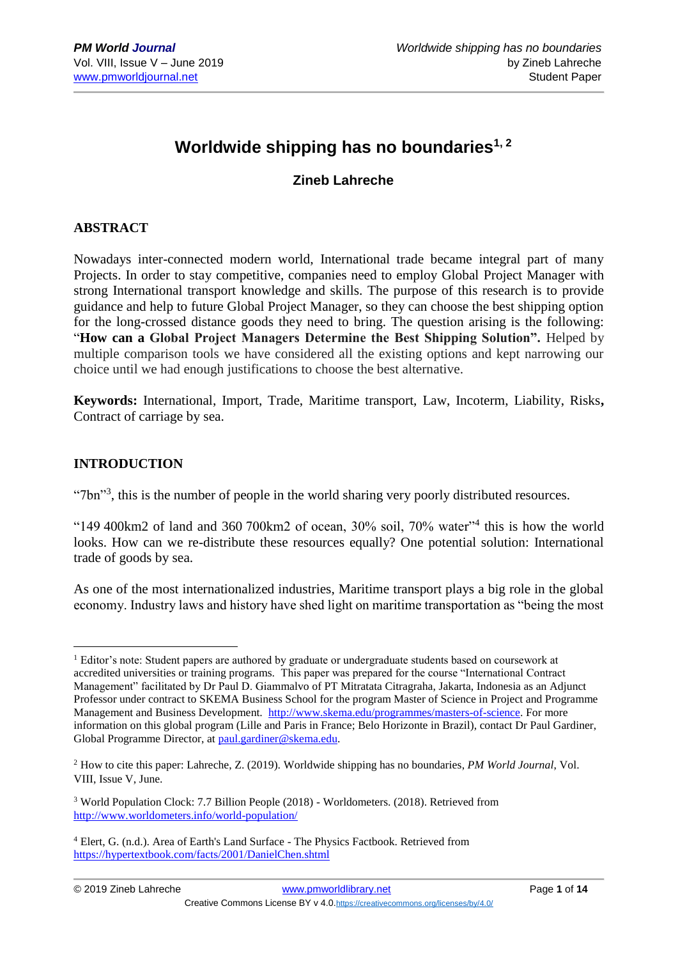# **Worldwide shipping has no boundaries1, 2**

## **Zineb Lahreche**

## **ABSTRACT**

Nowadays inter-connected modern world, International trade became integral part of many Projects. In order to stay competitive, companies need to employ Global Project Manager with strong International transport knowledge and skills. The purpose of this research is to provide guidance and help to future Global Project Manager, so they can choose the best shipping option for the long-crossed distance goods they need to bring. The question arising is the following: "**How can a Global Project Managers Determine the Best Shipping Solution".** Helped by multiple comparison tools we have considered all the existing options and kept narrowing our choice until we had enough justifications to choose the best alternative.

**Keywords:** International, Import, Trade, Maritime transport, Law, Incoterm, Liability, Risks**,**  Contract of carriage by sea.

## **INTRODUCTION**

"7bn"<sup>3</sup>, this is the number of people in the world sharing very poorly distributed resources.

"149 400 km2 of land and 360 700 km2 of ocean,  $30\%$  soil,  $70\%$  water"<sup>4</sup> this is how the world looks. How can we re-distribute these resources equally? One potential solution: International trade of goods by sea.

As one of the most internationalized industries, Maritime transport plays a big role in the global economy. Industry laws and history have shed light on maritime transportation as "being the most

<sup>&</sup>lt;u>.</u>  $1$  Editor's note: Student papers are authored by graduate or undergraduate students based on coursework at accredited universities or training programs. This paper was prepared for the course "International Contract Management" facilitated by Dr Paul D. Giammalvo of PT Mitratata Citragraha, Jakarta, Indonesia as an Adjunct Professor under contract to SKEMA Business School for the program Master of Science in Project and Programme Management and Business Development. [http://www.skema.edu/programmes/masters-of-science.](http://www.skema.edu/programmes/masters-of-science) For more information on this global program (Lille and Paris in France; Belo Horizonte in Brazil), contact Dr Paul Gardiner, Global Programme Director, a[t paul.gardiner@skema.edu.](mailto:paul.gardiner@skema.edu)

<sup>2</sup> How to cite this paper: Lahreche, Z. (2019). Worldwide shipping has no boundaries, *PM World Journal*, Vol. VIII, Issue V, June.

<sup>3</sup> World Population Clock: 7.7 Billion People (2018) - Worldometers. (2018). Retrieved from <http://www.worldometers.info/world-population/>

<sup>4</sup> Elert, G. (n.d.). Area of Earth's Land Surface - The Physics Factbook. Retrieved from <https://hypertextbook.com/facts/2001/DanielChen.shtml>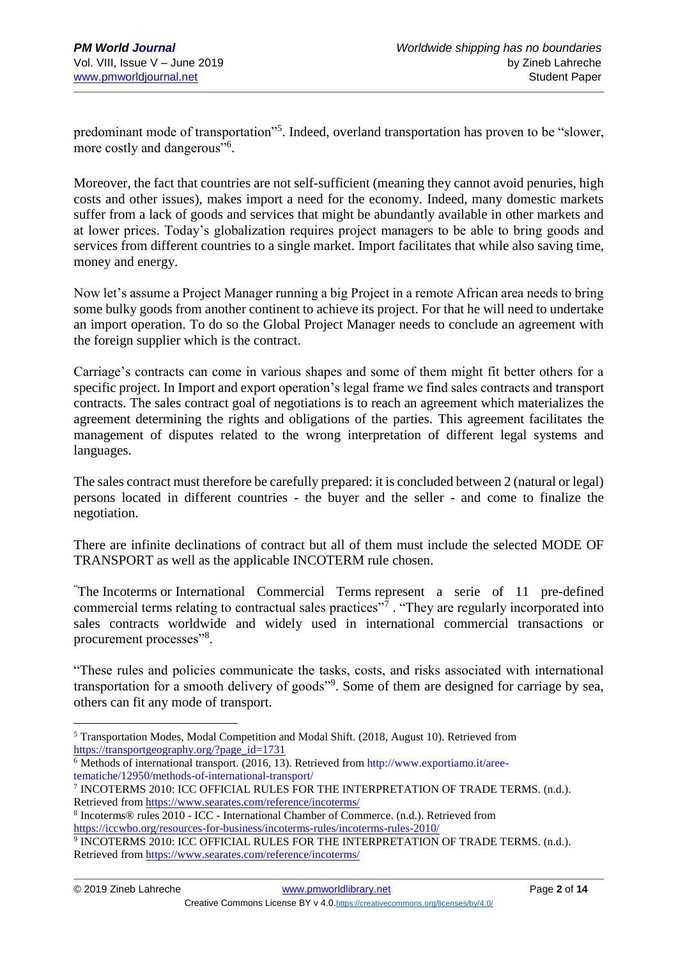predominant mode of transportation"<sup>5</sup>. Indeed, overland transportation has proven to be "slower, more costly and dangerous"<sup>6</sup>.

Moreover, the fact that countries are not self-sufficient (meaning they cannot avoid penuries, high costs and other issues), makes import a need for the economy. Indeed, many domestic markets suffer from a lack of goods and services that might be abundantly available in other markets and at lower prices. Today's globalization requires project managers to be able to bring goods and services from different countries to a single market. Import facilitates that while also saving time, money and energy.

Now let's assume a Project Manager running a big Project in a remote African area needs to bring some bulky goods from another continent to achieve its project. For that he will need to undertake an import operation. To do so the Global Project Manager needs to conclude an agreement with the foreign supplier which is the contract.

Carriage's contracts can come in various shapes and some of them might fit better others for a specific project. In Import and export operation's legal frame we find sales contracts and transport contracts. The sales contract goal of negotiations is to reach an agreement which materializes the agreement determining the rights and obligations of the parties. This agreement facilitates the management of disputes related to the wrong interpretation of different legal systems and languages.

The sales contract must therefore be carefully prepared: it is concluded between 2 (natural or legal) persons located in different countries - the buyer and the seller - and come to finalize the negotiation.

There are infinite declinations of contract but all of them must include the selected MODE OF TRANSPORT as well as the applicable INCOTERM rule chosen.

"The Incoterms or International Commercial Terms represent a serie of 11 pre-defined commercial terms relating to contractual sales practices"<sup>7</sup>. "They are regularly incorporated into sales contracts worldwide and widely used in international commercial transactions or procurement processes"<sup>8</sup>.

"These rules and policies communicate the tasks, costs, and risks associated with international transportation for a smooth delivery of goods"<sup>9</sup>. Some of them are designed for carriage by sea, others can fit any mode of transport.

1

<sup>5</sup> Transportation Modes, Modal Competition and Modal Shift. (2018, August 10). Retrieved from [https://transportgeography.org/?page\\_id=1731](https://transportgeography.org/?page_id=1731)

 $6$  Methods of international transport. (2016, 13). Retrieved from http://www.exportiamo.it/areetematiche/12950/methods-of-international-transport/

<sup>7</sup> INCOTERMS 2010: ICC OFFICIAL RULES FOR THE INTERPRETATION OF TRADE TERMS. (n.d.). Retrieved from<https://www.searates.com/reference/incoterms/>

<sup>8</sup> Incoterms® rules 2010 - ICC - International Chamber of Commerce. (n.d.). Retrieved from <https://iccwbo.org/resources-for-business/incoterms-rules/incoterms-rules-2010/>

<sup>9</sup> INCOTERMS 2010: ICC OFFICIAL RULES FOR THE INTERPRETATION OF TRADE TERMS. (n.d.). Retrieved from<https://www.searates.com/reference/incoterms/>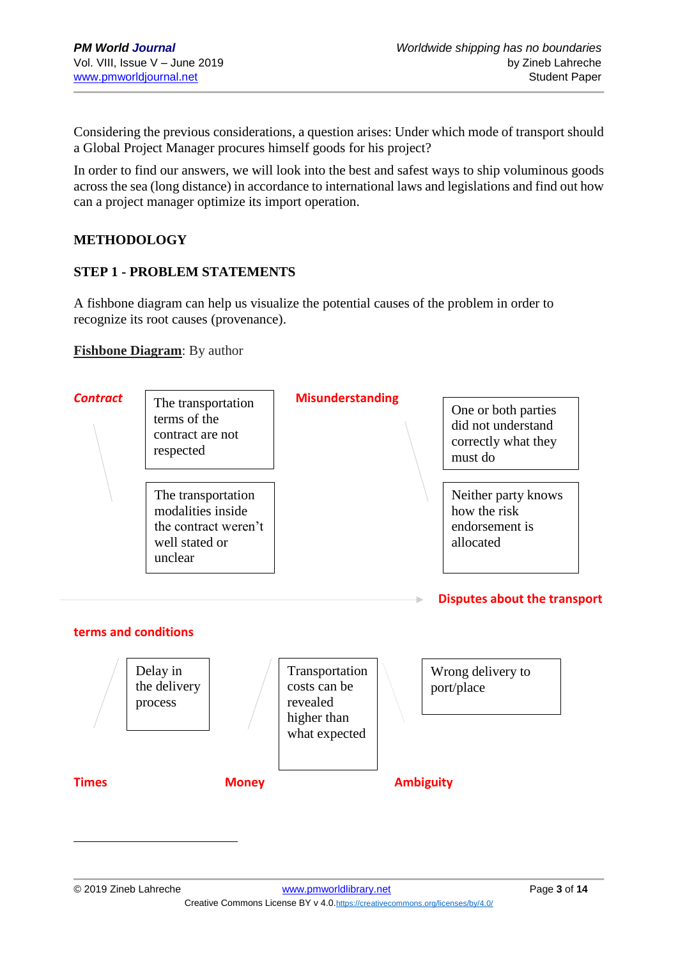Considering the previous considerations, a question arises: Under which mode of transport should a Global Project Manager procures himself goods for his project?

In order to find our answers, we will look into the best and safest ways to ship voluminous goods across the sea (long distance) in accordance to international laws and legislations and find out how can a project manager optimize its import operation.

## **METHODOLOGY**

## **STEP 1 - PROBLEM STATEMENTS**

A fishbone diagram can help us visualize the potential causes of the problem in order to recognize its root causes (provenance).

#### **Fishbone Diagram**: By author

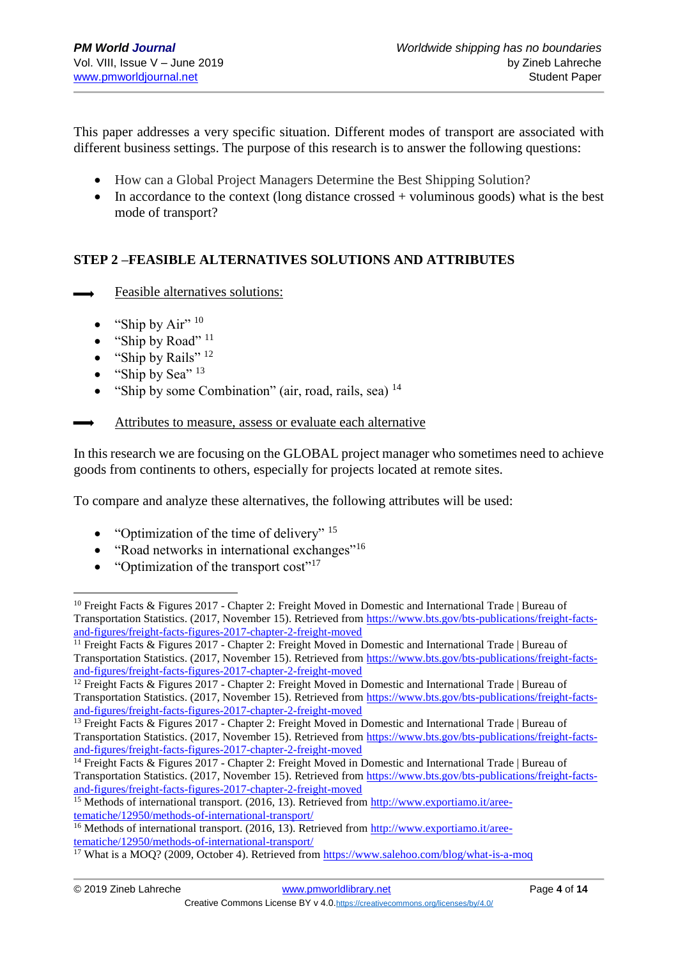This paper addresses a very specific situation. Different modes of transport are associated with different business settings. The purpose of this research is to answer the following questions:

- How can a Global Project Managers Determine the Best Shipping Solution?
- In accordance to the context (long distance crossed + voluminous goods) what is the best mode of transport?

## **STEP 2 –FEASIBLE ALTERNATIVES SOLUTIONS AND ATTRIBUTES**

- Feasible alternatives solutions:
	- "Ship by Air"  $10$
	- "Ship by Road"<sup>11</sup>
	- "Ship by Rails" <sup>12</sup>
	- "Ship by Sea" 13
	- "Ship by some Combination" (air, road, rails, sea)  $14$

## Attributes to measure, assess or evaluate each alternative

In this research we are focusing on the GLOBAL project manager who sometimes need to achieve goods from continents to others, especially for projects located at remote sites.

To compare and analyze these alternatives, the following attributes will be used:

- "Optimization of the time of delivery" <sup>15</sup>
- "Road networks in international exchanges"<sup>16</sup>
- "Optimization of the transport cost"<sup>17</sup>

1

<sup>&</sup>lt;sup>10</sup> Freight Facts & Figures 2017 - Chapter 2: Freight Moved in Domestic and International Trade | Bureau of Transportation Statistics. (2017, November 15). Retrieved from [https://www.bts.gov/bts-publications/freight-facts](https://www.bts.gov/bts-publications/freight-facts-and-figures/freight-facts-figures-2017-chapter-2-freight-moved)[and-figures/freight-facts-figures-2017-chapter-2-freight-moved](https://www.bts.gov/bts-publications/freight-facts-and-figures/freight-facts-figures-2017-chapter-2-freight-moved)

<sup>&</sup>lt;sup>11</sup> Freight Facts & Figures 2017 - Chapter 2: Freight Moved in Domestic and International Trade | Bureau of Transportation Statistics. (2017, November 15). Retrieved from [https://www.bts.gov/bts-publications/freight-facts](https://www.bts.gov/bts-publications/freight-facts-and-figures/freight-facts-figures-2017-chapter-2-freight-moved)[and-figures/freight-facts-figures-2017-chapter-2-freight-moved](https://www.bts.gov/bts-publications/freight-facts-and-figures/freight-facts-figures-2017-chapter-2-freight-moved)

<sup>&</sup>lt;sup>12</sup> Freight Facts & Figures 2017 - Chapter 2: Freight Moved in Domestic and International Trade | Bureau of Transportation Statistics. (2017, November 15). Retrieved from [https://www.bts.gov/bts-publications/freight-facts](https://www.bts.gov/bts-publications/freight-facts-and-figures/freight-facts-figures-2017-chapter-2-freight-moved)[and-figures/freight-facts-figures-2017-chapter-2-freight-moved](https://www.bts.gov/bts-publications/freight-facts-and-figures/freight-facts-figures-2017-chapter-2-freight-moved)

<sup>&</sup>lt;sup>13</sup> Freight Facts & Figures 2017 - Chapter 2: Freight Moved in Domestic and International Trade | Bureau of Transportation Statistics. (2017, November 15). Retrieved from [https://www.bts.gov/bts-publications/freight-facts](https://www.bts.gov/bts-publications/freight-facts-and-figures/freight-facts-figures-2017-chapter-2-freight-moved)[and-figures/freight-facts-figures-2017-chapter-2-freight-moved](https://www.bts.gov/bts-publications/freight-facts-and-figures/freight-facts-figures-2017-chapter-2-freight-moved)

<sup>&</sup>lt;sup>14</sup> Freight Facts & Figures 2017 - Chapter 2: Freight Moved in Domestic and International Trade | Bureau of Transportation Statistics. (2017, November 15). Retrieved from [https://www.bts.gov/bts-publications/freight-facts](https://www.bts.gov/bts-publications/freight-facts-and-figures/freight-facts-figures-2017-chapter-2-freight-moved)[and-figures/freight-facts-figures-2017-chapter-2-freight-moved](https://www.bts.gov/bts-publications/freight-facts-and-figures/freight-facts-figures-2017-chapter-2-freight-moved)

<sup>&</sup>lt;sup>15</sup> Methods of international transport. (2016, 13). Retrieved from [http://www.exportiamo.it/aree](http://www.exportiamo.it/aree-tematiche/12950/methods-of-international-transport/)[tematiche/12950/methods-of-international-transport/](http://www.exportiamo.it/aree-tematiche/12950/methods-of-international-transport/)

<sup>&</sup>lt;sup>16</sup> Methods of international transport. (2016, 13). Retrieved from [http://www.exportiamo.it/aree](http://www.exportiamo.it/aree-tematiche/12950/methods-of-international-transport/)[tematiche/12950/methods-of-international-transport/](http://www.exportiamo.it/aree-tematiche/12950/methods-of-international-transport/)

<sup>17</sup> What is a MOQ? (2009, October 4). Retrieved from<https://www.salehoo.com/blog/what-is-a-moq>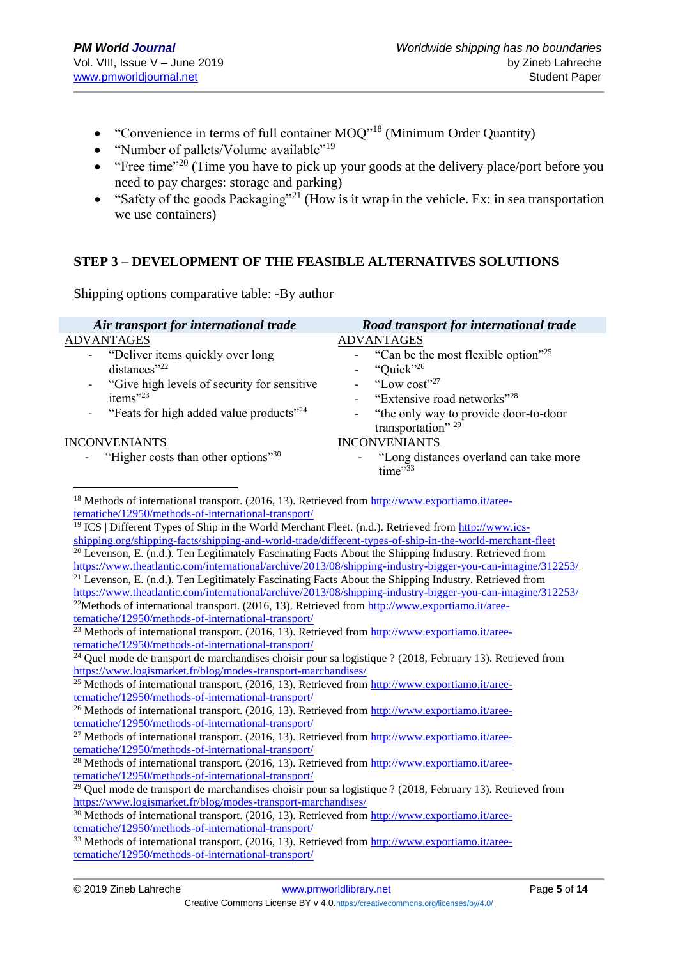- "Convenience in terms of full container MOO"<sup>18</sup> (Minimum Order Quantity)
- "Number of pallets/Volume available"<sup>19</sup>
- "Free time"<sup>20</sup> (Time you have to pick up your goods at the delivery place/port before you need to pay charges: storage and parking)
- "Safety of the goods Packaging"<sup>21</sup> (How is it wrap in the vehicle. Ex: in sea transportation we use containers)

## **STEP 3 – DEVELOPMENT OF THE FEASIBLE ALTERNATIVES SOLUTIONS**

Shipping options comparative table: -By author

| Air transport for international trade                                                                       | Road transport for international trade                              |
|-------------------------------------------------------------------------------------------------------------|---------------------------------------------------------------------|
| <b>ADVANTAGES</b>                                                                                           | <b>ADVANTAGES</b>                                                   |
| "Deliver items quickly over long"<br>$\overline{\phantom{a}}$                                               | "Can be the most flexible option" <sup>25</sup>                     |
| distances" $22$                                                                                             | "Quick" <sup>26</sup>                                               |
| "Give high levels of security for sensitive"<br>$\blacksquare$                                              | "Low cost" $27$                                                     |
| items" $23$                                                                                                 | "Extensive road networks" <sup>28</sup><br>$\overline{\phantom{0}}$ |
| "Feats for high added value products" <sup>24</sup><br>$\overline{\phantom{a}}$                             | "the only way to provide door-to-door"<br>Ξ.<br>transportation" 29  |
| INCONVENIANTS                                                                                               | <b>INCONVENIANTS</b>                                                |
| - "Higher costs than other options" <sup>30</sup>                                                           | - "Long distances overland can take more"<br>$time$ <sup>33</sup>   |
| <sup>18</sup> Methods of international transport. (2016, 13). Retrieved from http://www.exportiamo.it/aree- |                                                                     |

[tematiche/12950/methods-of-international-transport/](http://www.exportiamo.it/aree-tematiche/12950/methods-of-international-transport/)

<https://www.theatlantic.com/international/archive/2013/08/shipping-industry-bigger-you-can-imagine/312253/> <sup>22</sup>Methods of international transport. (2016, 13). Retrieved from [http://www.exportiamo.it/aree](http://www.exportiamo.it/aree-tematiche/12950/methods-of-international-transport/)[tematiche/12950/methods-of-international-transport/](http://www.exportiamo.it/aree-tematiche/12950/methods-of-international-transport/)

 $24$  Quel mode de transport de marchandises choisir pour sa logistique ? (2018, February 13). Retrieved from <https://www.logismarket.fr/blog/modes-transport-marchandises/>

<sup>30</sup> Methods of international transport. (2016, 13). Retrieved fro[m http://www.exportiamo.it/aree](http://www.exportiamo.it/aree-tematiche/12950/methods-of-international-transport/)[tematiche/12950/methods-of-international-transport/](http://www.exportiamo.it/aree-tematiche/12950/methods-of-international-transport/)

<sup>&</sup>lt;sup>19</sup> ICS | Different Types of Ship in the World Merchant Fleet. (n.d.). Retrieved from [http://www.ics](http://www.ics-shipping.org/shipping-facts/shipping-and-world-trade/different-types-of-ship-in-the-world-merchant-fleet)[shipping.org/shipping-facts/shipping-and-world-trade/different-types-of-ship-in-the-world-merchant-fleet](http://www.ics-shipping.org/shipping-facts/shipping-and-world-trade/different-types-of-ship-in-the-world-merchant-fleet) <sup>20</sup> Levenson, E. (n.d.). Ten Legitimately Fascinating Facts About the Shipping Industry. Retrieved from <https://www.theatlantic.com/international/archive/2013/08/shipping-industry-bigger-you-can-imagine/312253/> <sup>21</sup> Levenson, E. (n.d.). Ten Legitimately Fascinating Facts About the Shipping Industry. Retrieved from

 $\frac{23}{23}$  Methods of international transport. (2016, 13). Retrieved from [http://www.exportiamo.it/aree](http://www.exportiamo.it/aree-tematiche/12950/methods-of-international-transport/)[tematiche/12950/methods-of-international-transport/](http://www.exportiamo.it/aree-tematiche/12950/methods-of-international-transport/)

<sup>&</sup>lt;sup>25</sup> Methods of international transport. (2016, 13). Retrieved from  $\frac{http://www.exportiamo.it/aree-1}{http://www.exportiamo.it/aree-1}$ [tematiche/12950/methods-of-international-transport/](http://www.exportiamo.it/aree-tematiche/12950/methods-of-international-transport/)

<sup>&</sup>lt;sup>26</sup> Methods of international transport. (2016, 13). Retrieved from [http://www.exportiamo.it/aree](http://www.exportiamo.it/aree-tematiche/12950/methods-of-international-transport/)[tematiche/12950/methods-of-international-transport/](http://www.exportiamo.it/aree-tematiche/12950/methods-of-international-transport/)

<sup>&</sup>lt;sup>27</sup> Methods of international transport. (2016, 13). Retrieved from [http://www.exportiamo.it/aree](http://www.exportiamo.it/aree-tematiche/12950/methods-of-international-transport/)[tematiche/12950/methods-of-international-transport/](http://www.exportiamo.it/aree-tematiche/12950/methods-of-international-transport/)

<sup>&</sup>lt;sup>28</sup> Methods of international transport. (2016, 13). Retrieved from [http://www.exportiamo.it/aree](http://www.exportiamo.it/aree-tematiche/12950/methods-of-international-transport/)[tematiche/12950/methods-of-international-transport/](http://www.exportiamo.it/aree-tematiche/12950/methods-of-international-transport/)

 $29$  Quel mode de transport de marchandises choisir pour sa logistique ? (2018, February 13). Retrieved from <https://www.logismarket.fr/blog/modes-transport-marchandises/>

Methods of international transport. (2016, 13). Retrieved from [http://www.exportiamo.it/aree](http://www.exportiamo.it/aree-tematiche/12950/methods-of-international-transport/)[tematiche/12950/methods-of-international-transport/](http://www.exportiamo.it/aree-tematiche/12950/methods-of-international-transport/)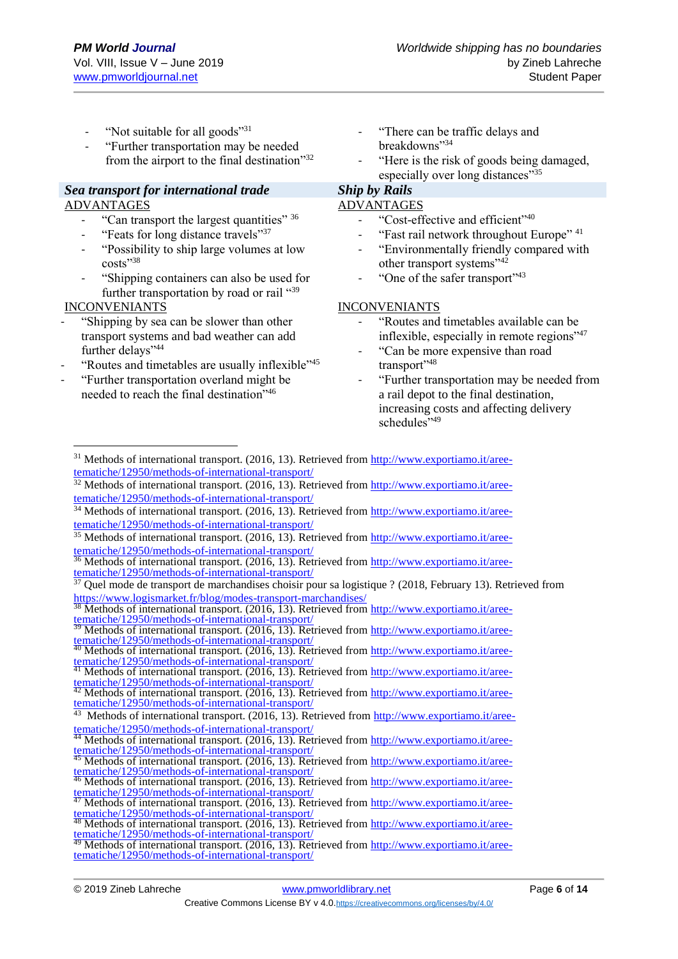- "Not suitable for all goods"<sup>31</sup>
- "Further transportation may be needed from the airport to the final destination"<sup>32</sup>

#### *Sea transport for international trade Ship by Rails* ADVANTAGES

- "Can transport the largest quantities" 36
- "Feats for long distance travels"<sup>37</sup>
- "Possibility to ship large volumes at low" costs"38
- "Shipping containers can also be used for further transportation by road or rail "39

#### INCONVENIANTS

1

- "Shipping by sea can be slower than other transport systems and bad weather can add further delays"<sup>44</sup>
- "Routes and timetables are usually inflexible"<sup>45</sup>
- "Further transportation overland might be needed to reach the final destination<sup>"46</sup>
- "There can be traffic delays and breakdowns"34
- "Here is the risk of goods being damaged, especially over long distances"<sup>35</sup>

#### ADVANTAGES

- "Cost-effective and efficient"<sup>40</sup>
- "Fast rail network throughout Europe"<sup>41</sup>
- "Environmentally friendly compared with other transport systems"<sup>42</sup>
- "One of the safer transport"<sup>43</sup>

#### INCONVENIANTS

- "Routes and timetables available can be inflexible, especially in remote regions"<sup>47</sup>
- "Can be more expensive than road transport",48
- "Further transportation may be needed from a rail depot to the final destination, increasing costs and affecting delivery schedules"<sup>49</sup>

 $38$  Methods of international transport. (2016, 13). Retrieved from [http://www.exportiamo.it/aree](http://www.exportiamo.it/aree-tematiche/12950/methods-of-international-transport/) $t$ ematiche/12950/methods-of-international-transport/<br> $\frac{39 \text{ Methods of intrematically}}{39 \text{ Methods of intrematically}}$ 

<sup>40</sup> Methods of international transport. (2016, 13). Retrieved from [http://www.exportiamo.it/aree](http://www.exportiamo.it/aree-tematiche/12950/methods-of-international-transport/)tematiche/12950/methods-of-international-transport<br>#1 Methods-of-international-transport

<sup>&</sup>lt;sup>31</sup> Methods of international transport. (2016, 13). Retrieved fro[m http://www.exportiamo.it/aree](http://www.exportiamo.it/aree-tematiche/12950/methods-of-international-transport/)[tematiche/12950/methods-of-international-transport/](http://www.exportiamo.it/aree-tematiche/12950/methods-of-international-transport/)

<sup>&</sup>lt;sup>32</sup> Methods of international transport. (2016, 13). Retrieved fro[m http://www.exportiamo.it/aree](http://www.exportiamo.it/aree-tematiche/12950/methods-of-international-transport/)[tematiche/12950/methods-of-international-transport/](http://www.exportiamo.it/aree-tematiche/12950/methods-of-international-transport/)

 $34$  Methods of international transport. (2016, 13). Retrieved from [http://www.exportiamo.it/aree](http://www.exportiamo.it/aree-tematiche/12950/methods-of-international-transport/)[tematiche/12950/methods-of-international-transport/](http://www.exportiamo.it/aree-tematiche/12950/methods-of-international-transport/)

 $35$  Methods of international transport. (2016, 13). Retrieved from [http://www.exportiamo.it/aree](http://www.exportiamo.it/aree-tematiche/12950/methods-of-international-transport/)[tematiche/12950/methods-of-international-transport/](http://www.exportiamo.it/aree-tematiche/12950/methods-of-international-transport/)

<sup>&</sup>lt;sup>36</sup> Methods of international transport. (2016, 13). Retrieved from [http://www.exportiamo.it/aree](http://www.exportiamo.it/aree-tematiche/12950/methods-of-international-transport/)[tematiche/12950/methods-of-international-transport/](http://www.exportiamo.it/aree-tematiche/12950/methods-of-international-transport/)

 $37$  Quel mode de transport de marchandises choisir pour sa logistique ? (2018, February 13). Retrieved from <https://www.logismarket.fr/blog/modes-transport-marchandises/>

<sup>39</sup> Methods of international transport. (2016, 13). Retrieved from [http://www.exportiamo.it/aree](http://www.exportiamo.it/aree-tematiche/12950/methods-of-international-transport/)[tematiche/12950/methods-of-international-transport/](http://www.exportiamo.it/aree-tematiche/12950/methods-of-international-transport/)

Methods of international transport. (2016, 13). Retrieved from [http://www.exportiamo.it/aree](http://www.exportiamo.it/aree-tematiche/12950/methods-of-international-transport/)[tematiche/12950/methods-of-international-transport/](http://www.exportiamo.it/aree-tematiche/12950/methods-of-international-transport/)

<sup>&</sup>lt;sup>42</sup> Methods of international transport. (2016, 13). Retrieved from  $\frac{http://www-exportiamo.it/aree-1}{http://www-exportiamo.it/aree-1}$ [tematiche/12950/methods-of-international-transport/](http://www.exportiamo.it/aree-tematiche/12950/methods-of-international-transport/)

<sup>&</sup>lt;sup>43</sup> Methods of international transport. (2016, 13). Retrieved from [http://www.exportiamo.it/aree](http://www.exportiamo.it/aree-tematiche/12950/methods-of-international-transport/)[tematiche/12950/methods-of-international-transport/](http://www.exportiamo.it/aree-tematiche/12950/methods-of-international-transport/)

<sup>&</sup>lt;sup>44</sup> Methods of international transport. (2016, 13). Retrieved from [http://www.exportiamo.it/aree](http://www.exportiamo.it/aree-tematiche/12950/methods-of-international-transport/)tematiche/12950/methods-of-international-transport<br>45 Mothods of international-transport

Methods of international transport. (2016, 13). Retrieved from [http://www.exportiamo.it/aree](http://www.exportiamo.it/aree-tematiche/12950/methods-of-international-transport/)[tematiche/12950/methods-of-international-transport/](http://www.exportiamo.it/aree-tematiche/12950/methods-of-international-transport/)

<sup>&</sup>lt;sup>46</sup> Methods of international transport. (2016, 13). Retrieved from [http://www.exportiamo.it/aree](http://www.exportiamo.it/aree-tematiche/12950/methods-of-international-transport/)tematiche/12950/methods-of-international-transport<br>
<sup>47</sup> Methods of international-transport

Methods of international transport. (2016, 13). Retrieved from [http://www.exportiamo.it/aree](http://www.exportiamo.it/aree-tematiche/12950/methods-of-international-transport/)tematiche/12950/methods-of-international-transport

Methods of international transport. (2016, 13). Retrieved from [http://www.exportiamo.it/aree](http://www.exportiamo.it/aree-tematiche/12950/methods-of-international-transport/)[tematiche/12950/methods-of-international-transport/](http://www.exportiamo.it/aree-tematiche/12950/methods-of-international-transport/)

<sup>&</sup>lt;sup>49</sup> Methods of international transport. (2016, 13). Retrieved from [http://www.exportiamo.it/aree](http://www.exportiamo.it/aree-tematiche/12950/methods-of-international-transport/)[tematiche/12950/methods-of-international-transport/](http://www.exportiamo.it/aree-tematiche/12950/methods-of-international-transport/)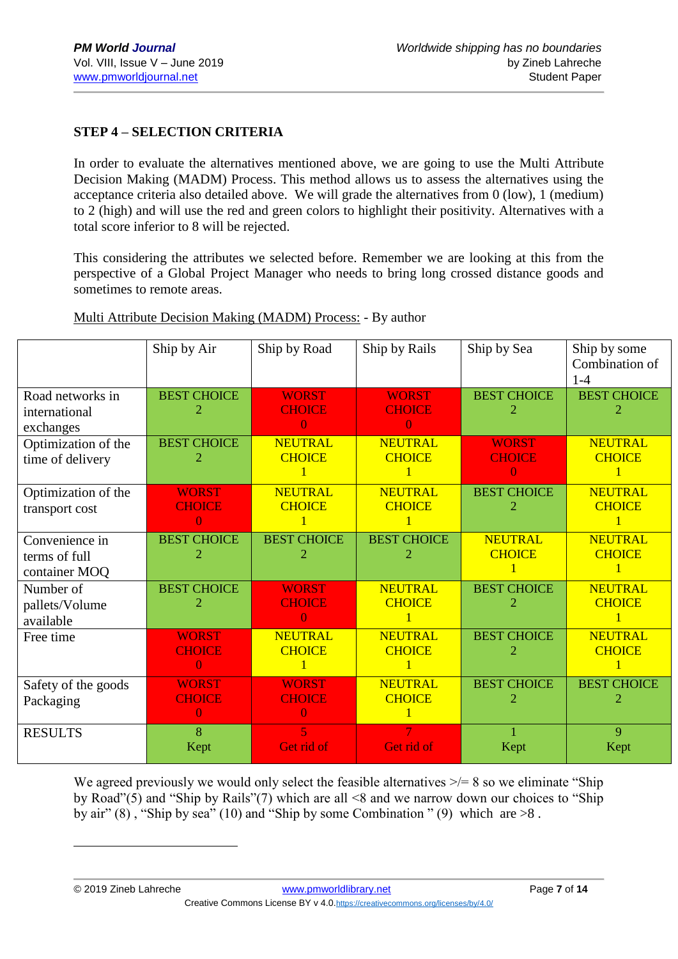## **STEP 4 – SELECTION CRITERIA**

In order to evaluate the alternatives mentioned above, we are going to use the Multi Attribute Decision Making (MADM) Process. This method allows us to assess the alternatives using the acceptance criteria also detailed above. We will grade the alternatives from 0 (low), 1 (medium) to 2 (high) and will use the red and green colors to highlight their positivity. Alternatives with a total score inferior to 8 will be rejected.

This considering the attributes we selected before. Remember we are looking at this from the perspective of a Global Project Manager who needs to bring long crossed distance goods and sometimes to remote areas.

|                                                  | Ship by Air                               | Ship by Road                              | Ship by Rails                                   | Ship by Sea                               | Ship by some<br>Combination of<br>$1 - 4$ |  |
|--------------------------------------------------|-------------------------------------------|-------------------------------------------|-------------------------------------------------|-------------------------------------------|-------------------------------------------|--|
| Road networks in<br>international<br>exchanges   | <b>BEST CHOICE</b>                        | <b>WORST</b><br><b>CHOICE</b><br>$\theta$ | <b>WORST</b><br><b>CHOICE</b><br>$\overline{0}$ | <b>BEST CHOICE</b>                        | <b>BEST CHOICE</b>                        |  |
| Optimization of the<br>time of delivery          | <b>BEST CHOICE</b>                        | <b>NEUTRAL</b><br><b>CHOICE</b>           | <b>NEUTRAL</b><br><b>CHOICE</b>                 | <b>WORST</b><br><b>CHOICE</b><br>$\Omega$ | <b>NEUTRAL</b><br><b>CHOICE</b>           |  |
| Optimization of the<br>transport cost            | <b>WORST</b><br><b>CHOICE</b><br>$\Omega$ | <b>NEUTRAL</b><br><b>CHOICE</b>           | <b>NEUTRAL</b><br><b>CHOICE</b>                 | <b>BEST CHOICE</b>                        | <b>NEUTRAL</b><br><b>CHOICE</b>           |  |
| Convenience in<br>terms of full<br>container MOQ | <b>BEST CHOICE</b><br>2                   | <b>BEST CHOICE</b><br>2                   | <b>BEST CHOICE</b><br>2                         | <b>NEUTRAL</b><br><b>CHOICE</b>           | <b>NEUTRAL</b><br><b>CHOICE</b>           |  |
| Number of<br>pallets/Volume<br>available         | <b>BEST CHOICE</b>                        | <b>WORST</b><br><b>CHOICE</b><br>$\Omega$ | <b>NEUTRAL</b><br><b>CHOICE</b>                 | <b>BEST CHOICE</b>                        | <b>NEUTRAL</b><br><b>CHOICE</b>           |  |
| Free time                                        | <b>WORST</b><br><b>CHOICE</b><br>$\theta$ | <b>NEUTRAL</b><br><b>CHOICE</b>           | <b>NEUTRAL</b><br><b>CHOICE</b>                 | <b>BEST CHOICE</b>                        | <b>NEUTRAL</b><br><b>CHOICE</b>           |  |
| Safety of the goods<br>Packaging                 | <b>WORST</b><br><b>CHOICE</b><br>$\Omega$ | <b>WORST</b><br><b>CHOICE</b><br>$\theta$ | <b>NEUTRAL</b><br><b>CHOICE</b>                 | <b>BEST CHOICE</b>                        | <b>BEST CHOICE</b>                        |  |
| <b>RESULTS</b>                                   | 8<br>Kept                                 | 5<br>Get rid of                           | Get rid of                                      | Kept                                      | 9<br>Kept                                 |  |

Multi Attribute Decision Making (MADM) Process: - By author

We agreed previously we would only select the feasible alternatives  $\geq$  = 8 so we eliminate "Ship" by Road"(5) and "Ship by Rails"(7) which are all <8 and we narrow down our choices to "Ship by air" (8), "Ship by sea" (10) and "Ship by some Combination " (9) which are  $>8$ .

1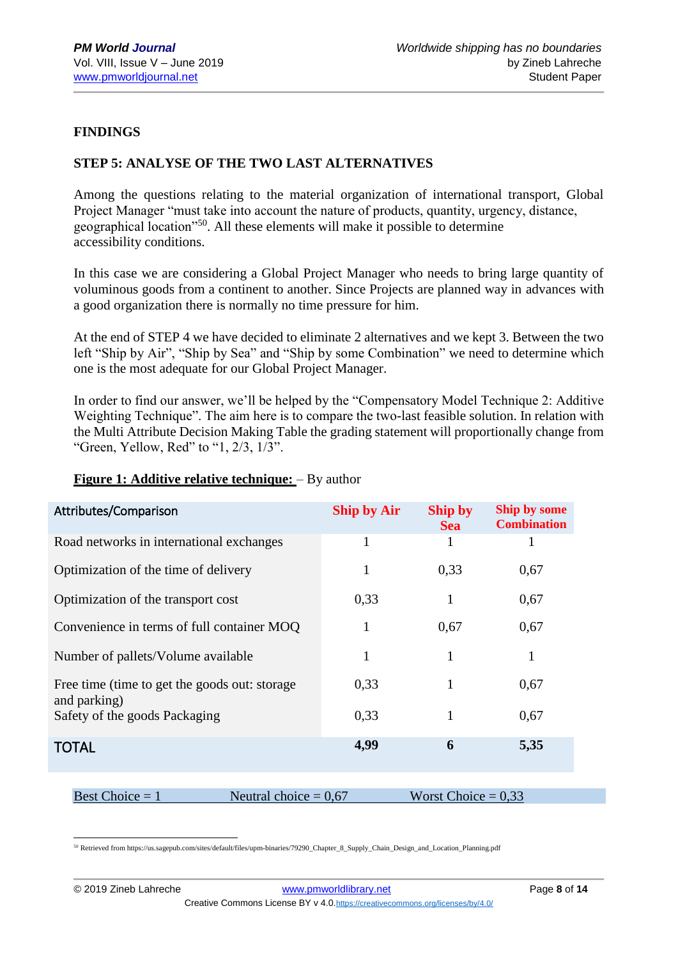## **FINDINGS**

## **STEP 5: ANALYSE OF THE TWO LAST ALTERNATIVES**

Among the questions relating to the material organization of international transport, Global Project Manager "must take into account the nature of products, quantity, urgency, distance, geographical location"<sup>50</sup>. All these elements will make it possible to determine accessibility conditions.

In this case we are considering a Global Project Manager who needs to bring large quantity of voluminous goods from a continent to another. Since Projects are planned way in advances with a good organization there is normally no time pressure for him.

At the end of STEP 4 we have decided to eliminate 2 alternatives and we kept 3. Between the two left "Ship by Air", "Ship by Sea" and "Ship by some Combination" we need to determine which one is the most adequate for our Global Project Manager.

In order to find our answer, we'll be helped by the "Compensatory Model Technique 2: Additive Weighting Technique". The aim here is to compare the two-last feasible solution. In relation with the Multi Attribute Decision Making Table the grading statement will proportionally change from "Green, Yellow, Red" to "1, 2/3, 1/3".

| Attributes/Comparison                                         | <b>Ship by Air</b> | Ship by<br><b>Sea</b> | <b>Ship by some</b><br><b>Combination</b> |  |  |
|---------------------------------------------------------------|--------------------|-----------------------|-------------------------------------------|--|--|
| Road networks in international exchanges                      | 1                  |                       | 1                                         |  |  |
| Optimization of the time of delivery                          | 1                  | 0,33                  | 0,67                                      |  |  |
| Optimization of the transport cost                            | 0,33               | 0,67                  |                                           |  |  |
| Convenience in terms of full container MOQ                    | 1                  | 0,67                  | 0,67                                      |  |  |
| Number of pallets/Volume available                            | 1                  | 1                     | 1                                         |  |  |
| Free time (time to get the goods out: storage<br>and parking) | 0,33               | 1                     | 0,67                                      |  |  |
| Safety of the goods Packaging                                 | 0,33               | 1                     | 0,67                                      |  |  |
| TOTAL                                                         | 4,99               | 6                     | 5,35                                      |  |  |
| Neutral choice = $0,67$<br>Best Choice $= 1$                  |                    | Worst Choice = $0,33$ |                                           |  |  |

### **Figure 1: Additive relative technique:** – By author

1 <sup>50</sup> Retrieved from https://us.sagepub.com/sites/default/files/upm-binaries/79290\_Chapter\_8\_Supply\_Chain\_Design\_and\_Location\_Planning.pdf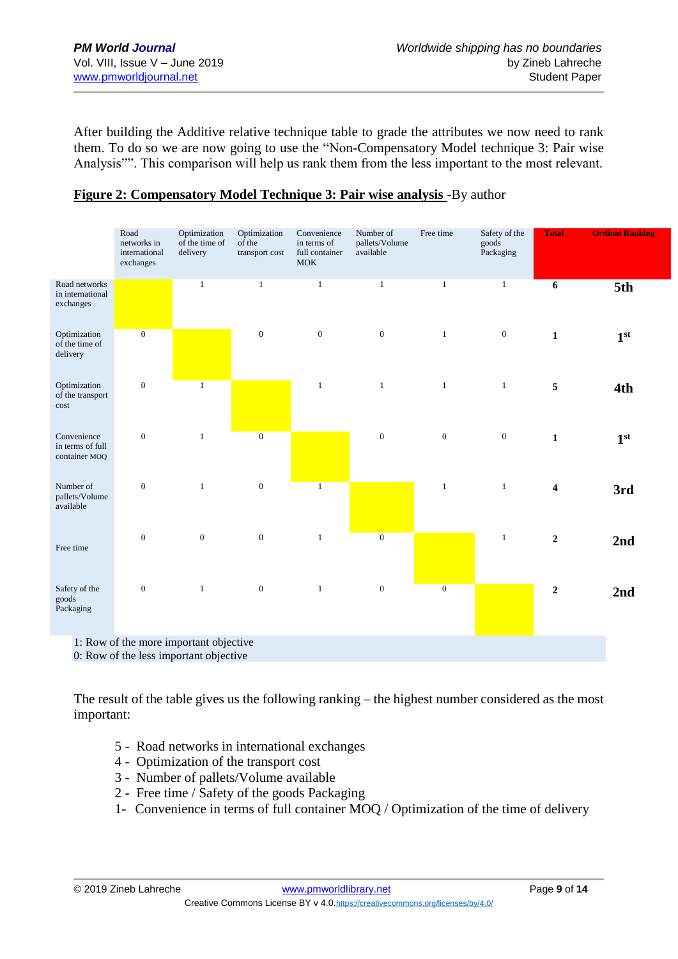After building the Additive relative technique table to grade the attributes we now need to rank them. To do so we are now going to use the "Non-Compensatory Model technique 3: Pair wise Analysis"". This comparison will help us rank them from the less important to the most relevant.

|                                                  | Road<br>networks in<br>international<br>exchanges | Optimization<br>of the time of<br>delivery | Optimization<br>of the<br>transport cost | Convenience<br>in terms of<br>full container<br><b>MOK</b> | Number of<br>pallets/Volume<br>available | Free time        | Safety of the<br>goods<br>Packaging | <b>Total</b>            | <b>Ordinal Ranking</b> |
|--------------------------------------------------|---------------------------------------------------|--------------------------------------------|------------------------------------------|------------------------------------------------------------|------------------------------------------|------------------|-------------------------------------|-------------------------|------------------------|
| Road networks<br>in international<br>exchanges   |                                                   | 1                                          | $\mathbf{1}$                             | $\mathbf{1}$                                               | $\mathbf{1}$                             | $\mathbf{1}$     | $\mathbf{1}$                        | 6                       | 5th                    |
| Optimization<br>of the time of<br>delivery       | $\overline{0}$                                    |                                            | $\boldsymbol{0}$                         | $\boldsymbol{0}$                                           | $\boldsymbol{0}$                         | $\mathbf{1}$     | $\boldsymbol{0}$                    | $\mathbf{1}$            | 1 <sup>st</sup>        |
| Optimization<br>of the transport<br>cost         | $\boldsymbol{0}$                                  | $\mathbf{1}$                               |                                          | $\mathbf{1}$                                               | $\mathbf{1}$                             | $\mathbf{1}$     | $\mathbf{1}$                        | 5                       | 4th                    |
| Convenience<br>in terms of full<br>container MOQ | $\boldsymbol{0}$                                  | 1                                          | $\boldsymbol{0}$                         |                                                            | $\boldsymbol{0}$                         | $\boldsymbol{0}$ | $\boldsymbol{0}$                    | $\mathbf{1}$            | 1 <sup>st</sup>        |
| Number of<br>pallets/Volume<br>available         | $\boldsymbol{0}$                                  | 1                                          | $\boldsymbol{0}$                         | 1                                                          |                                          | $\mathbf{1}$     | $\mathbf{1}$                        | $\overline{\mathbf{4}}$ | 3rd                    |
| Free time                                        | $\boldsymbol{0}$                                  | $\boldsymbol{0}$                           | $\boldsymbol{0}$                         | $\mathbf{1}$                                               | $\boldsymbol{0}$                         |                  | $\mathbf{1}$                        | $\mathbf 2$             | 2nd                    |
| Safety of the<br>goods<br>Packaging              | $\boldsymbol{0}$                                  | $\mathbf{1}$                               | $\boldsymbol{0}$                         | $\mathbf{1}$                                               | $\boldsymbol{0}$                         | $\boldsymbol{0}$ |                                     | $\boldsymbol{2}$        | 2nd                    |
|                                                  |                                                   | 1: Row of the more important objective     |                                          |                                                            |                                          |                  |                                     |                         |                        |
|                                                  |                                                   |                                            |                                          |                                                            |                                          |                  |                                     |                         |                        |

## **Figure 2: Compensatory Model Technique 3: Pair wise analysis** -By author

0: Row of the less important objective

The result of the table gives us the following ranking – the highest number considered as the most important:

- 5 Road networks in international exchanges
- 4 Optimization of the transport cost
- 3 Number of pallets/Volume available
- 2 Free time / Safety of the goods Packaging
- 1- Convenience in terms of full container MOQ / Optimization of the time of delivery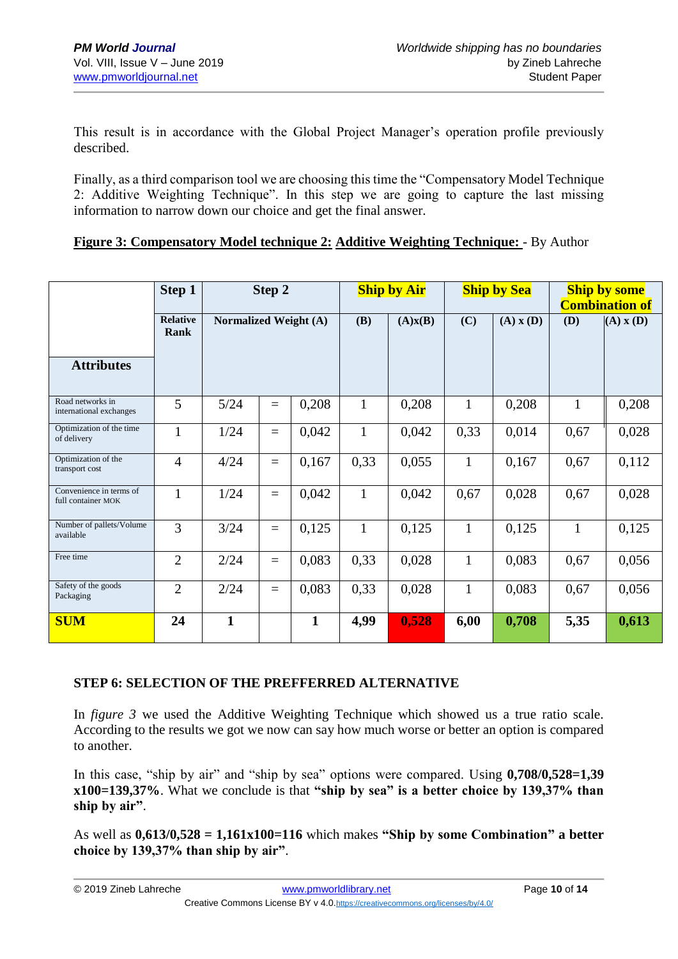This result is in accordance with the Global Project Manager's operation profile previously described.

Finally, as a third comparison tool we are choosing this time the "Compensatory Model Technique 2: Additive Weighting Technique". In this step we are going to capture the last missing information to narrow down our choice and get the final answer.

## **Figure 3: Compensatory Model technique 2: Additive Weighting Technique:** - By Author

|                                               | Step 1                  | Step 2                |                   | <b>Ship by Air</b> |              | <b>Ship by Sea</b> |              | <b>Ship by some</b><br><b>Combination of</b> |              |               |
|-----------------------------------------------|-------------------------|-----------------------|-------------------|--------------------|--------------|--------------------|--------------|----------------------------------------------|--------------|---------------|
|                                               | <b>Relative</b><br>Rank | Normalized Weight (A) |                   |                    | (B)          | (A)x(B)            | (C)          | $(A)$ x $(D)$                                | (D)          | $(A)$ x $(D)$ |
| <b>Attributes</b>                             |                         |                       |                   |                    |              |                    |              |                                              |              |               |
| Road networks in<br>international exchanges   | 5                       | 5/24                  | $=$               | 0,208              | $\mathbf{1}$ | 0,208              | $\mathbf{1}$ | 0,208                                        | $\mathbf{1}$ | 0,208         |
| Optimization of the time<br>of delivery       | $\mathbf{1}$            | 1/24                  | $\qquad \qquad =$ | 0,042              | $\mathbf{1}$ | 0,042              | 0,33         | 0,014                                        | 0,67         | 0,028         |
| Optimization of the<br>transport cost         | $\overline{4}$          | 4/24                  | $\equiv$          | 0,167              | 0,33         | 0,055              | $\mathbf{1}$ | 0,167                                        | 0,67         | 0,112         |
| Convenience in terms of<br>full container MOK | 1                       | 1/24                  | $\equiv$          | 0,042              | 1            | 0,042              | 0,67         | 0,028                                        | 0,67         | 0,028         |
| Number of pallets/Volume<br>available         | 3                       | 3/24                  | $=$               | 0,125              | $\mathbf{1}$ | 0,125              | 1            | 0,125                                        | $\mathbf{1}$ | 0,125         |
| Free time                                     | $\overline{2}$          | 2/24                  | $=$               | 0,083              | 0,33         | 0,028              | 1            | 0,083                                        | 0,67         | 0,056         |
| Safety of the goods<br>Packaging              | $\overline{2}$          | 2/24                  | $=$               | 0,083              | 0,33         | 0,028              | $\mathbf{1}$ | 0,083                                        | 0,67         | 0,056         |
| <b>SUM</b>                                    | 24                      | $\mathbf{1}$          |                   | 1                  | 4,99         | 0,528              | 6,00         | 0,708                                        | 5,35         | 0,613         |

## **STEP 6: SELECTION OF THE PREFFERRED ALTERNATIVE**

In *figure 3* we used the Additive Weighting Technique which showed us a true ratio scale. According to the results we got we now can say how much worse or better an option is compared to another.

In this case, "ship by air" and "ship by sea" options were compared. Using **0,708/0,528=1,39 x100=139,37%**. What we conclude is that **"ship by sea" is a better choice by 139,37% than ship by air"**.

As well as **0,613/0,528 = 1,161x100=116** which makes **"Ship by some Combination" a better choice by 139,37% than ship by air"**.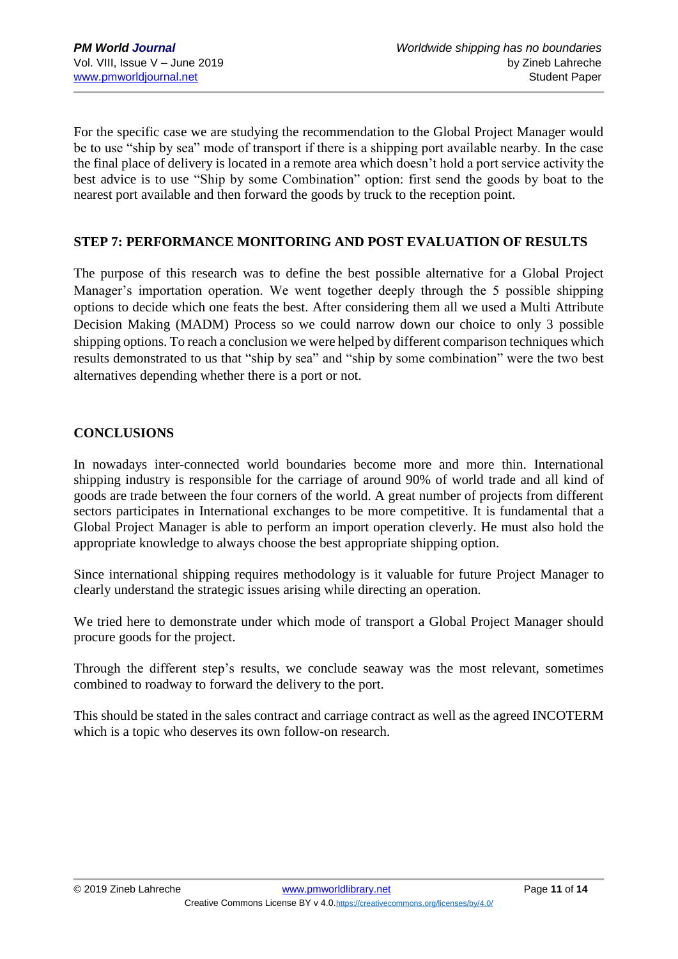For the specific case we are studying the recommendation to the Global Project Manager would be to use "ship by sea" mode of transport if there is a shipping port available nearby. In the case the final place of delivery is located in a remote area which doesn't hold a port service activity the best advice is to use "Ship by some Combination" option: first send the goods by boat to the nearest port available and then forward the goods by truck to the reception point.

## **STEP 7: PERFORMANCE MONITORING AND POST EVALUATION OF RESULTS**

The purpose of this research was to define the best possible alternative for a Global Project Manager's importation operation. We went together deeply through the 5 possible shipping options to decide which one feats the best. After considering them all we used a Multi Attribute Decision Making (MADM) Process so we could narrow down our choice to only 3 possible shipping options. To reach a conclusion we were helped by different comparison techniques which results demonstrated to us that "ship by sea" and "ship by some combination" were the two best alternatives depending whether there is a port or not.

#### **CONCLUSIONS**

In nowadays inter-connected world boundaries become more and more thin. International shipping industry is responsible for the carriage of around 90% of world trade and all kind of goods are trade between the four corners of the world. A great number of projects from different sectors participates in International exchanges to be more competitive. It is fundamental that a Global Project Manager is able to perform an import operation cleverly. He must also hold the appropriate knowledge to always choose the best appropriate shipping option.

Since international shipping requires methodology is it valuable for future Project Manager to clearly understand the strategic issues arising while directing an operation.

We tried here to demonstrate under which mode of transport a Global Project Manager should procure goods for the project.

Through the different step's results, we conclude seaway was the most relevant, sometimes combined to roadway to forward the delivery to the port.

This should be stated in the sales contract and carriage contract as well as the agreed INCOTERM which is a topic who deserves its own follow-on research.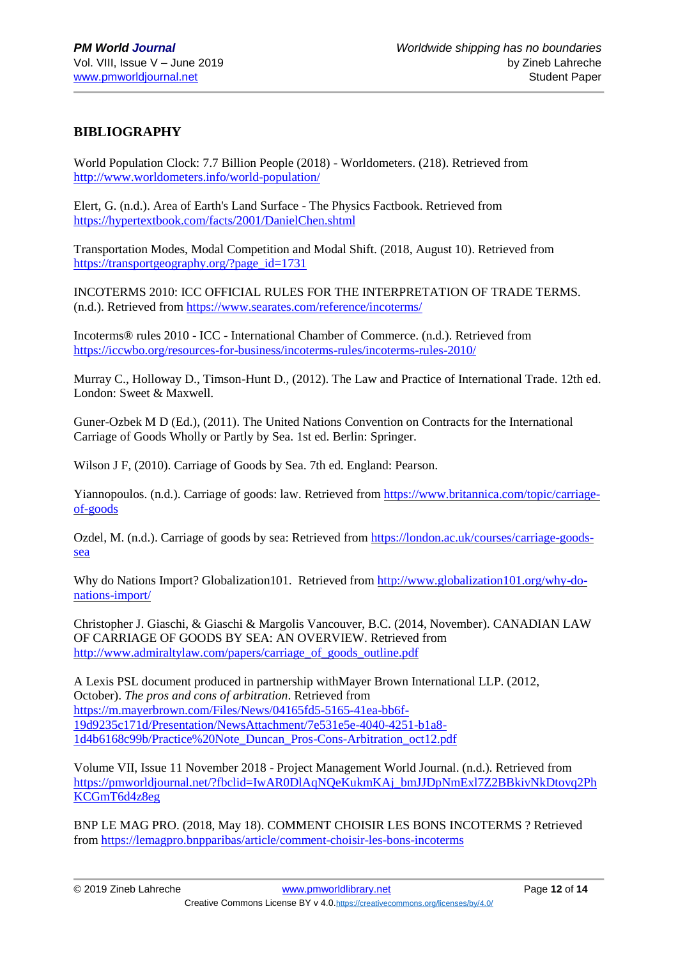## **BIBLIOGRAPHY**

World Population Clock: 7.7 Billion People (2018) - Worldometers. (218). Retrieved from <http://www.worldometers.info/world-population/>

Elert, G. (n.d.). Area of Earth's Land Surface - The Physics Factbook. Retrieved from <https://hypertextbook.com/facts/2001/DanielChen.shtml>

Transportation Modes, Modal Competition and Modal Shift. (2018, August 10). Retrieved from [https://transportgeography.org/?page\\_id=1731](https://transportgeography.org/?page_id=1731)

INCOTERMS 2010: ICC OFFICIAL RULES FOR THE INTERPRETATION OF TRADE TERMS. (n.d.). Retrieved from<https://www.searates.com/reference/incoterms/>

Incoterms® rules 2010 - ICC - International Chamber of Commerce. (n.d.). Retrieved from <https://iccwbo.org/resources-for-business/incoterms-rules/incoterms-rules-2010/>

Murray C., Holloway D., Timson-Hunt D., (2012). The Law and Practice of International Trade. 12th ed. London: Sweet & Maxwell.

Guner-Ozbek M D (Ed.), (2011). The United Nations Convention on Contracts for the International Carriage of Goods Wholly or Partly by Sea. 1st ed. Berlin: Springer.

Wilson J F, (2010). Carriage of Goods by Sea. 7th ed. England: Pearson.

Yiannopoulos. (n.d.). Carriage of goods: law. Retrieved from [https://www.britannica.com/topic/carriage](https://www.britannica.com/topic/carriage-of-goods)[of-goods](https://www.britannica.com/topic/carriage-of-goods)

Ozdel, M. (n.d.). Carriage of goods by sea: Retrieved from [https://london.ac.uk/courses/carriage-goods](https://london.ac.uk/courses/carriage-goods-sea)[sea](https://london.ac.uk/courses/carriage-goods-sea)

Why do Nations Import? Globalization101. Retrieved from [http://www.globalization101.org/why-do](http://www.globalization101.org/why-do-nations-import/)[nations-import/](http://www.globalization101.org/why-do-nations-import/)

Christopher J. Giaschi, & Giaschi & Margolis Vancouver, B.C. (2014, November). CANADIAN LAW OF CARRIAGE OF GOODS BY SEA: AN OVERVIEW. Retrieved from [http://www.admiraltylaw.com/papers/carriage\\_of\\_goods\\_outline.pdf](http://www.admiraltylaw.com/papers/carriage_of_goods_outline.pdf)

A Lexis PSL document produced in partnership withMayer Brown International LLP. (2012, October). *The pros and cons of arbitration*. Retrieved from [https://m.mayerbrown.com/Files/News/04165fd5-5165-41ea-bb6f-](https://m.mayerbrown.com/Files/News/04165fd5-5165-41ea-bb6f-19d9235c171d/Presentation/NewsAttachment/7e531e5e-4040-4251-b1a8-1d4b6168c99b/Practice%20Note_Duncan_Pros-Cons-Arbitration_oct12.pdf)[19d9235c171d/Presentation/NewsAttachment/7e531e5e-4040-4251-b1a8-](https://m.mayerbrown.com/Files/News/04165fd5-5165-41ea-bb6f-19d9235c171d/Presentation/NewsAttachment/7e531e5e-4040-4251-b1a8-1d4b6168c99b/Practice%20Note_Duncan_Pros-Cons-Arbitration_oct12.pdf) [1d4b6168c99b/Practice%20Note\\_Duncan\\_Pros-Cons-Arbitration\\_oct12.pdf](https://m.mayerbrown.com/Files/News/04165fd5-5165-41ea-bb6f-19d9235c171d/Presentation/NewsAttachment/7e531e5e-4040-4251-b1a8-1d4b6168c99b/Practice%20Note_Duncan_Pros-Cons-Arbitration_oct12.pdf)

Volume VII, Issue 11 November 2018 - Project Management World Journal. (n.d.). Retrieved from [https://pmworldjournal.net/?fbclid=IwAR0DlAqNQeKukmKAj\\_bmJJDpNmExl7Z2BBkivNkDtovq2Ph](https://pmworldjournal.net/?fbclid=IwAR0DlAqNQeKukmKAj_bmJJDpNmExl7Z2BBkivNkDtovq2PhKCGmT6d4z8eg) [KCGmT6d4z8eg](https://pmworldjournal.net/?fbclid=IwAR0DlAqNQeKukmKAj_bmJJDpNmExl7Z2BBkivNkDtovq2PhKCGmT6d4z8eg)

BNP LE MAG PRO. (2018, May 18). COMMENT CHOISIR LES BONS INCOTERMS ? Retrieved from<https://lemagpro.bnpparibas/article/comment-choisir-les-bons-incoterms>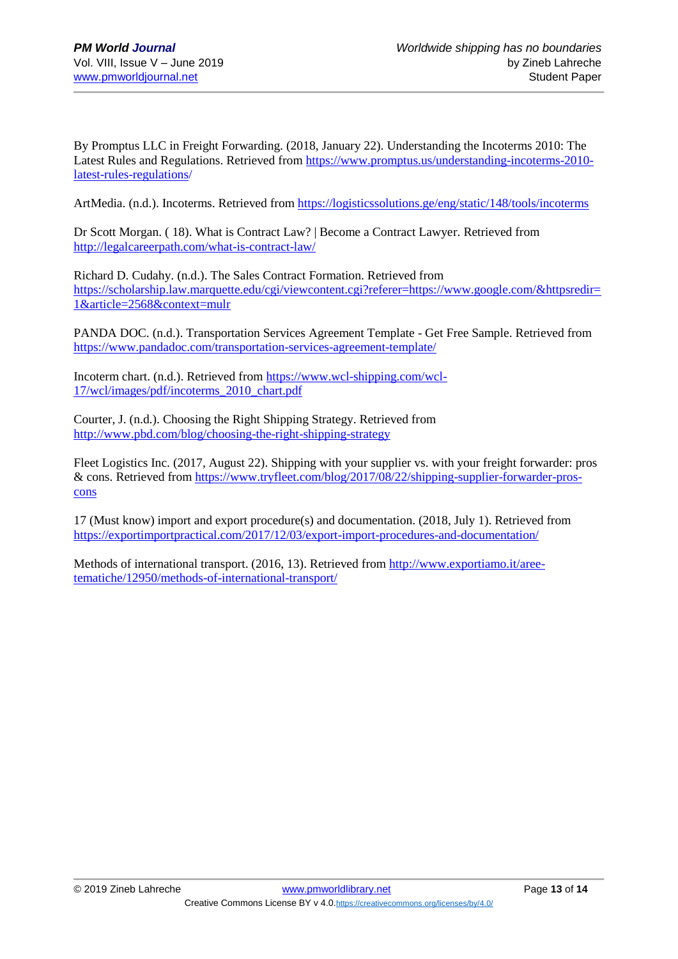By Promptus LLC in Freight Forwarding. (2018, January 22). Understanding the Incoterms 2010: The Latest Rules and Regulations. Retrieved from https://www.promptus.us/understanding-incoterms-2010 latest-rules-regulations/

ArtMedia. (n.d.). Incoterms. Retrieved from<https://logisticssolutions.ge/eng/static/148/tools/incoterms>

Dr Scott Morgan. ( 18). What is Contract Law? | Become a Contract Lawyer. Retrieved from <http://legalcareerpath.com/what-is-contract-law/>

Richard D. Cudahy. (n.d.). The Sales Contract Formation. Retrieved from [https://scholarship.law.marquette.edu/cgi/viewcontent.cgi?referer=https://www.google.com/&httpsredir=](https://scholarship.law.marquette.edu/cgi/viewcontent.cgi?referer=https://www.google.com/&httpsredir=1&article=2568&context=mulr) [1&article=2568&context=mulr](https://scholarship.law.marquette.edu/cgi/viewcontent.cgi?referer=https://www.google.com/&httpsredir=1&article=2568&context=mulr)

PANDA DOC. (n.d.). Transportation Services Agreement Template - Get Free Sample. Retrieved from <https://www.pandadoc.com/transportation-services-agreement-template/>

Incoterm chart. (n.d.). Retrieved from https://www.wcl-shipping.com/wcl-17/wcl/images/pdf/incoterms\_2010\_chart.pdf

Courter, J. (n.d.). Choosing the Right Shipping Strategy. Retrieved from http://www.pbd.com/blog/choosing-the-right-shipping-strategy

Fleet Logistics Inc. (2017, August 22). Shipping with your supplier vs. with your freight forwarder: pros & cons. Retrieved from https://www.tryfleet.com/blog/2017/08/22/shipping-supplier-forwarder-proscons

17 (Must know) import and export procedure(s) and documentation. (2018, July 1). Retrieved from <https://exportimportpractical.com/2017/12/03/export-import-procedures-and-documentation/>

Methods of international transport. (2016, 13). Retrieved from http://www.exportiamo.it/areetematiche/12950/methods-of-international-transport/